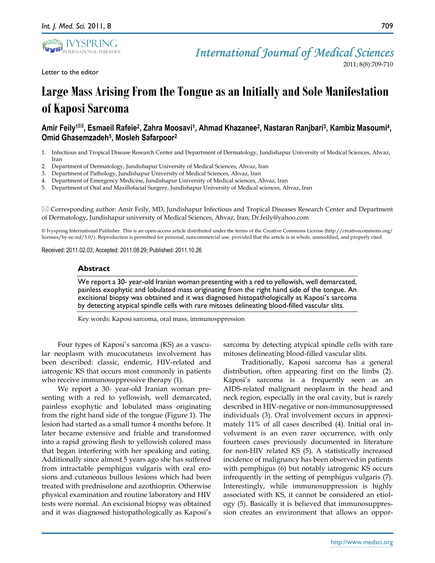Letter to the editor



2011; 8(8):709-710

# **Large Mass Arising From the Tongue as an Initially and Sole Manifestation of Kaposi Sarcoma**

## Amir Feily<sup>ı⊠</sup>, Esmaeil Rafeie<sup>2</sup>, Zahra Moosavi<sup>1</sup>, Ahmad Khazanee<sup>2</sup>, Nastaran Ranjbari<sup>3</sup>, Kambiz Masoumi<sup>4</sup>, **Omid Ghasemzadeh<sup>5</sup> , Mosleh Safarpoor<sup>2</sup>**

- 1. Infectious and Tropical Disease Research Center and Department of Dermatology, Jundishapur University of Medical Sciences, Ahvaz, Iran
- 2. Department of Dermatology, Jundishapur University of Medical Sciences, Ahvaz, Iran
- 3. Department of Pathology, Jundishapur University of Medical Sciences, Ahvaz, Iran
- 4. Department of Emergency Medicine, Jundishapur University of Medical sciences, Ahvaz, Iran
- 5. Department of Oral and Maxillofacial Surgery, Jundishapur University of Medical sciences, Ahvaz, Iran

 $\boxtimes$  Corresponding author: Amir Feily, MD, Jundishapur Infectious and Tropical Diseases Research Center and Department of Dermatology, Jundishapur university of Medical Sciences, Ahvaz, Iran; Dr.feily@yahoo.com

© Ivyspring International Publisher. This is an open-access article distributed under the terms of the Creative Commons License (http://creativecommons.org/ licenses/by-nc-nd/3.0/). Reproduction is permitted for personal, noncommercial use, provided that the article is in whole, unmodified, and properly cited.

Received: 2011.02.03; Accepted: 2011.08.29; Published: 2011.10.26

#### **Abstract**

We report a 30- year-old Iranian woman presenting with a red to yellowish, well demarcated, painless exophytic and lobulated mass originating from the right hand side of the tongue. An excisional biopsy was obtained and it was diagnosed histopathologically as Kaposi's sarcoma by detecting atypical spindle cells with rare mitoses delineating blood-filled vascular slits.

Key words: Kaposi sarcoma, oral mass, immunosppression

Four types of Kaposi's sarcoma (KS) as a vascular neoplasm with mucocutaneus involvement has been described: classic, endemic, HIV-related and iatrogenic KS that occurs most commonly in patients who receive immunosuppressive therapy (1).

We report a 30- year-old Iranian woman presenting with a red to yellowish, well demarcated, painless exophytic and lobulated mass originating from the right hand side of the tongue (Figure 1). The lesion had started as a small tumor 4 months before. It later became extensive and friable and transformed into a rapid growing flesh to yellowish colored mass that began interfering with her speaking and eating. Additionally since almost 5 years ago she has suffered from intractable pemphigus vulgaris with oral erosions and cutaneous bullous lesions which had been treated with prednisolone and azothioprin. Otherwise physical examination and routine laboratory and HIV tests were normal. An excisional biopsy was obtained and it was diagnosed histopathologically as Kaposi's

sarcoma by detecting atypical spindle cells with rare mitoses delineating blood-filled vascular slits.

Traditionally, Kaposi sarcoma has a general distribution, often appearing first on the limbs (2). Kaposi's sarcoma is a frequently seen as an AIDS-related malignant neoplasm in the head and neck region, especially in the oral cavity, but is rarely described in HIV-negative or non-immunosuppressed individuals (3). Oral involvement occurs in approximately 11% of all cases described (4). Initial oral involvement is an even rarer occurrence, with only fourteen cases previously documented in literature for non-HIV related KS (5). A statistically increased incidence of malignancy has been observed in patients with pemphigus (6) but notably iatrogenic KS occurs infrequently in the setting of pemphigus vulgaris (7). Interestingly, while immunosuppression is highly associated with KS, it cannot be considered an etiology (5). Basically it is believed that immunosuppression creates an environment that allows an oppor